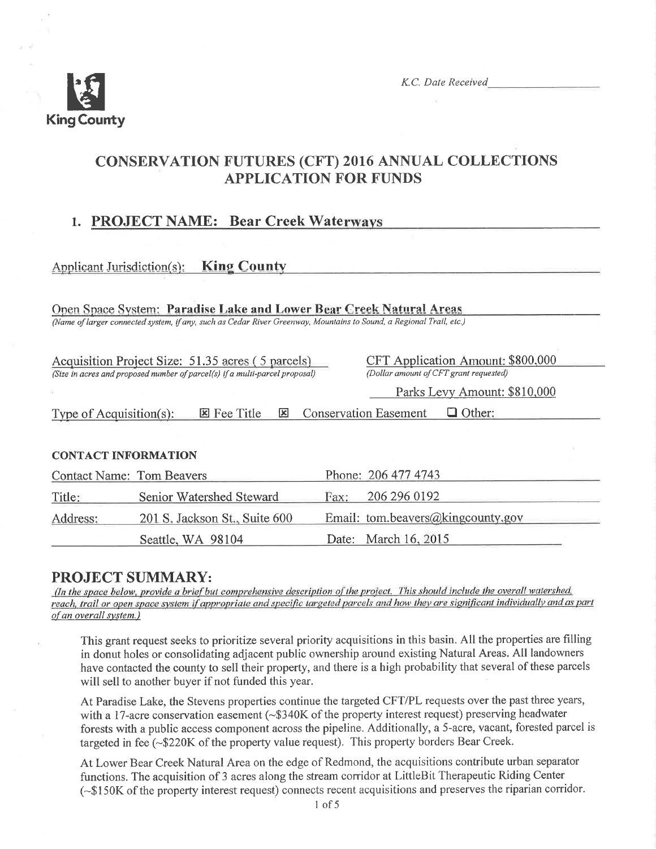

## **CONSERVATION FUTURES (CFT) 2016 ANNUAL COLLECTIONS APPLICATION FOR FUNDS**

## 1. PROJECT NAME: Bear Creek Waterways

#### Applicant Jurisdiction(s): King County

Open Space System: Paradise Lake and Lower Bear Creek Natural Areas (Name of larger connected system, if any, such as Cedar River Greenway, Mountains to Sound, a Regional Trail, etc.)

Acquisition Project Size: 51.35 acres (5 parcels) (Size in acres and proposed number of parcel(s) if a multi-parcel proposal) CFT Application Amount: \$800,000 (Dollar amount of CFT grant requested)

Parks Levy Amount: \$810,000

**E** Conservation Easement Other: Type of Acquisition(s): **E** Fee Title

#### **CONTACT INFORMATION**

| <b>Contact Name: Tom Beavers</b> |                               |      | Phone: 206 477 4743               |
|----------------------------------|-------------------------------|------|-----------------------------------|
| Title:                           | Senior Watershed Steward      | Fax: | 206 296 0192                      |
| Address:                         | 201 S. Jackson St., Suite 600 |      | Email: tom.beavers@kingcounty.gov |
|                                  | Seattle, WA 98104             |      | Date: March 16, 2015              |

#### **PROJECT SUMMARY:**

(In the space below, provide a brief but comprehensive description of the project. This should include the overall watershed, reach, trail or open space system if appropriate and specific targeted parcels and how they are significant individually and as part of an overall system.)

This grant request seeks to prioritize several priority acquisitions in this basin. All the properties are filling in donut holes or consolidating adjacent public ownership around existing Natural Areas. All landowners have contacted the county to sell their property, and there is a high probability that several of these parcels will sell to another buyer if not funded this year.

At Paradise Lake, the Stevens properties continue the targeted CFT/PL requests over the past three years, with a 17-acre conservation easement (~\$340K of the property interest request) preserving headwater forests with a public access component across the pipeline. Additionally, a 5-acre, vacant, forested parcel is targeted in fee (~\$220K of the property value request). This property borders Bear Creek.

At Lower Bear Creek Natural Area on the edge of Redmond, the acquisitions contribute urban separator functions. The acquisition of 3 acres along the stream corridor at LittleBit Therapeutic Riding Center (~\$150K of the property interest request) connects recent acquisitions and preserves the riparian corridor.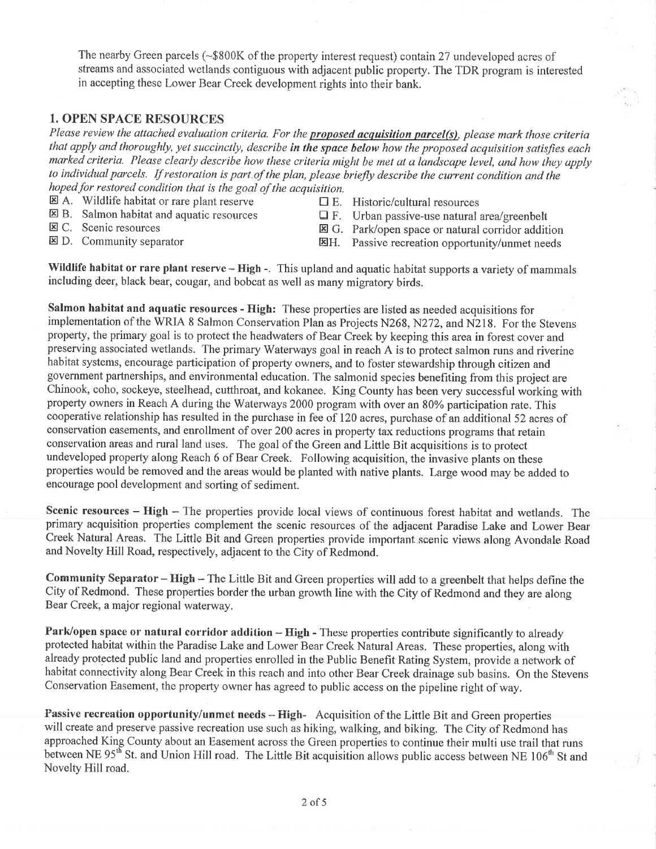The nearby Green parcels  $(-\$800K$  of the property interest request) contain 27 undeveloped acres of streams and associated wetlands contiguous with adjacent public property. The TDR program is interested in accepting these Lower Bear Creek development rights into their bank.

#### 1. OPEN SPACE RESOURCES

Please review the attached evaluation criteria. For the **proposed acquisition parcel(s)**, please mark those criteria that apply and thoroughly, yet succinctly, describe in the space below how the proposed acquisition satisfies each marked criteria. Please clearly describe how these criteria might be met at a landscape level, und how they upply to individual parcels. If restoration is part of the plan, please briefly describe the current condition and the hoped for restored condition that is the goal of the acquisition.

- $\boxtimes$  A. Wildlife habitat or rare plant reserve  $\Box$  E. Historic/cultural resources  $\boxtimes$  B. Salmon habitat and aquatic resources  $\Box$  F. Urban passive-use natural is
- 
- 

 $\boxtimes$  B. Salmon habitat and aquatic resources  $\Box$  F. Urban passive-use natural area/greenbelt<br> $\boxtimes$  C. Scenic resources  $\Box$  G. Park/open space or natural corridor additional

- 
- 図C. Scenic resources B. park/open space or natural corridor addition<br>图D. Community separator B. passive recreation opportunity/unmet needs Passive recreation opportunity/unmet needs
- 

Wildlife habitat or rare plant reserve - High -. This upland and aquatic habitat supports a variety of mammals including deer, black bear, cougar, and bobcat as well as many migratory birds.

Salmon habitat and aquatic resources - High: These properties are listed as needed acquisitions for implementation of the WRIA 8 Salmon Conservation Plan as Projects N268, N272, and N218. For the Stevens property, the primary goal is to protect the headwaters of Bear Creek by keeping this area in forest cover and preserving associated wetlands. The primary Waterways goal in reach A is to protect salmon runs and riverine habitat systems, encourage participation of property owners, and to foster stewardship through citizen and government partnerships, and environmental education. The salmonid species benefiting from this project are Chinook, coho, sockeye, steelhead, cutthroat, and kokanee. King County has been very successful working with property owners in Reach A during the Waterways 2000 program with over an 80% participation rate. This cooperative relationship has resulted in the purchase in fee of 120 acres, purchase of an additional 52 acres of conservation easements, and enrollment of over 200 acres in property tax reductions programs that retain conservation areas and rural land uses. The goal of the Green and Little Bit acquisitions is to protect undeveloped property along Reach 6 of Bear Creek. Following acquisition, the invasive plants on these properties would be removed and the areas would be planted with native plants. Large wood may be added to encourage pool development and sorting of sediment.

Scenic resources - High - The properties provide local views of continuous forest habitat and wetlands. The primary acquisition properties complement the scenic resources of the adjacent Paradise Lake and Lower Bear Creek Natural Areas. The Little Bit and Green properties provide important scenic views along Avondale Road and Novelty Hill Road, respectively, adjacent to the City of Redmond.

Community Separator - High - The Little Bit and Green properties will add to a greenbelt that helps define the City of Redmond. These properties border the urban growth line with the City of Redmond and they are along Bear Creek, a major regional waterway.

Park/open space or natural corridor addition - High - These properties contribute significantly to already protected habitat within the Paradise Lake and Lower Bear Creek Natural Areas. These properties, along with already protected public land and properties enrolled in the Public Benefit Rating System, provide a network of habitat connectivity along Bear Creek in this reach and into other Bear Creek drainage sub basins. On the Stevens Conservation Easement, the property owner has agreed to public access on the pipeline right of way.

Passive recreation opportunity/unmet needs – High- Acquisition of the Little Bit and Green properties will create and preserve passive recreation use such as hiking, walking, and biking. The City of Redmond has approached King County about an Easement across the Green properties to continue their multi use trail that runs between NE 95<sup>th</sup> St. and Union Hill road. The Little Bit acquisition allows public access between NE 106<sup>th</sup> St and Novelty Hill road.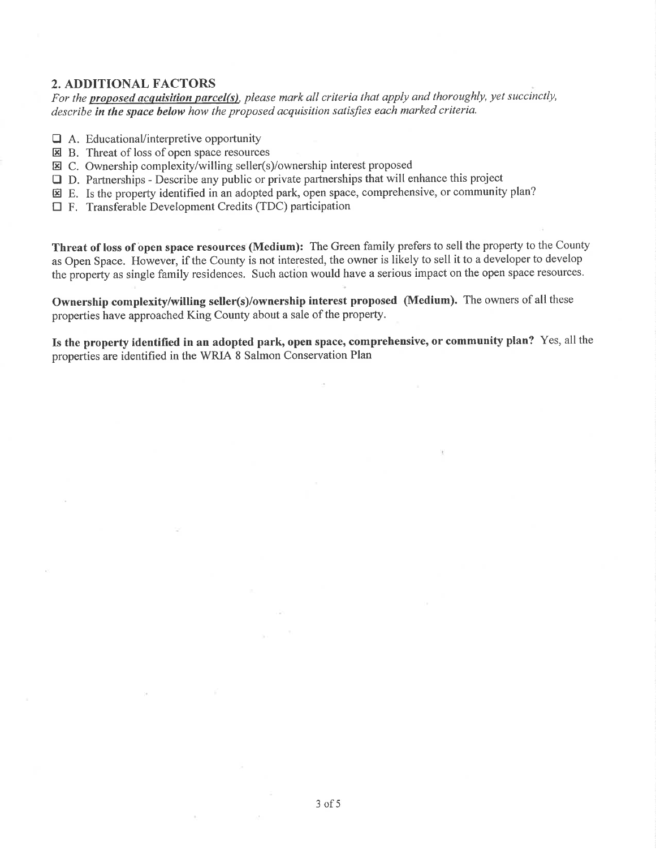#### 2. ADDITIONAL FACTORS

For the **proposed acquisition parcel(s)**, please mark all criteria that apply and thoroughly, yet succinctly, describe in the space below how the proposed acquisition satisfies each marked criteria.

- $\Box$  A. Educational/interpretive opportunity
- $\overline{\mathbf{E}}$  B. Threat of loss of open space resources
- $\Xi$  C. Ownership complexity/willing seller(s)/ownership interest proposed
- $\Box$  D. Partnerships Describe any public or private partnerships that will enhance this project
- E. Is the property identified in an adopted park, open space, comprehensive, or community plan?
- $\Box$  F. Transferable Development Credits (TDC) participation

Threat of loss of open space resources (Medium): The Green family prefers to sell the property to the County as Open Space. However, if the County is not interested, the owner is likely to sell it to a developer to develop the property as single family residences. Such action would have a serious impact on the open space resources.

Ownership complexity/wilting seller(s)/ownership interest proposed (Medium). The owners of all these properties have approached King County about a sale of the property.

Is the property identified in an adopted park, open space, comprehensive, or community plan? Yes, all the properties are identified in the WRIA 8 Salmon Conservation Plan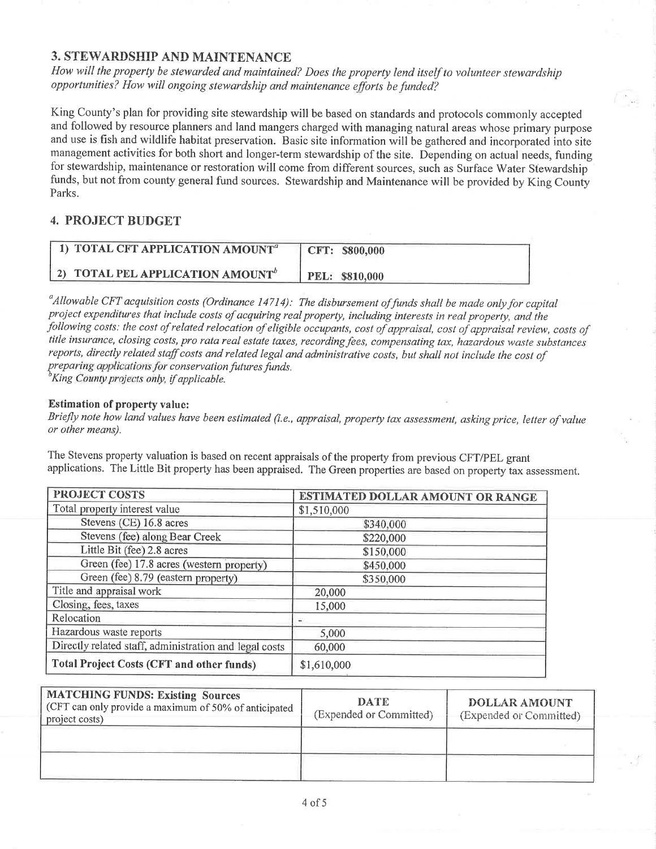#### 3. STEWARDSHIP AND MAINTENANCE

How will the property be stewarded and maintained? Does the property lend itself to volunteer stewardship opportunities? How will ongoing stewardship and maintenance efforts be funded?

King County's plan for providing site stewardship will be based on standards and protocols commonly accepted and followed by resource planners and land mangers charged with managing natural areas whose primary purpose and use is fish and wildlife habitat preservation. Basic site information will be gathered and incorporated into site management activities for both short and longer-term stewardship of the site. Depending on actual needs, funding for stewardship, maintenance or restoration will come from different sources, such as Surface Water Stewardship funds, but not from county general fund sources. Stewardship and Maintenance will be provided by King County Parks.

#### 4. PROJECT BUDGET

| 1) TOTAL CFT APPLICATION AMOUNT <sup>a-</sup> | CFT: \$800,000 |
|-----------------------------------------------|----------------|
| 2) TOTAL PEL APPLICATION AMOUNT <sup>b</sup>  | PEL: \$810,000 |

 $^a$ Allowable CFT acquisition costs (Ordinance 14714): The disbursement of funds shall be made only for capital proiect expenditures that include costs of acquiring real property, including interests in real property, and the following costs: the cost of related relocation of eligible occupants, cost of appraisal, cost of appraisal review, costs of title insurance, closing costs, pro rata real estate taxes, recording fees, compensating tax, hazardous waste substances reports, directly related staff costs and related legal and administrative costs, but shall not include the cost of preparing applications for conservation futures funds.  ${}^b$ King County projects only, if applicable.

#### Estimation of property value:

Briefly note how land values have been estimated (i.e., appraisal, property tax assessment, asking price, letter of value or other means).

The Stevens property valuation is based on recent appraisals of the property from previous CFT/PEL grant applications. The Little Bit property has been appraised. The Green properties are based on properry tax assessment.

| PROJECT COSTS                                          | ESTIMATED DOLLAR AMOUNT OR RANGE |  |  |
|--------------------------------------------------------|----------------------------------|--|--|
| Total property interest value                          | \$1,510,000                      |  |  |
| Stevens (CE) 16.8 acres                                | \$340,000                        |  |  |
| Stevens (fee) along Bear Creek                         | \$220,000                        |  |  |
| Little Bit (fee) 2.8 acres                             | \$150,000                        |  |  |
| Green (fee) 17.8 acres (western property)              | \$450,000                        |  |  |
| Green (fee) 8.79 (eastern property)                    | \$350,000                        |  |  |
| Title and appraisal work                               | 20,000                           |  |  |
| Closing, fees, taxes                                   | 15,000                           |  |  |
| Relocation                                             |                                  |  |  |
| Hazardous waste reports                                | 5,000                            |  |  |
| Directly related staff, administration and legal costs | 60,000                           |  |  |
| <b>Total Project Costs (CFT and other funds)</b>       | \$1,610,000                      |  |  |

| <b>MATCHING FUNDS: Existing Sources</b><br>(CFT can only provide a maximum of 50% of anticipated<br>project costs) | <b>DATE</b><br>(Expended or Committed) | <b>DOLLAR AMOUNT</b><br>(Expended or Committed) |
|--------------------------------------------------------------------------------------------------------------------|----------------------------------------|-------------------------------------------------|
|                                                                                                                    |                                        |                                                 |
|                                                                                                                    |                                        |                                                 |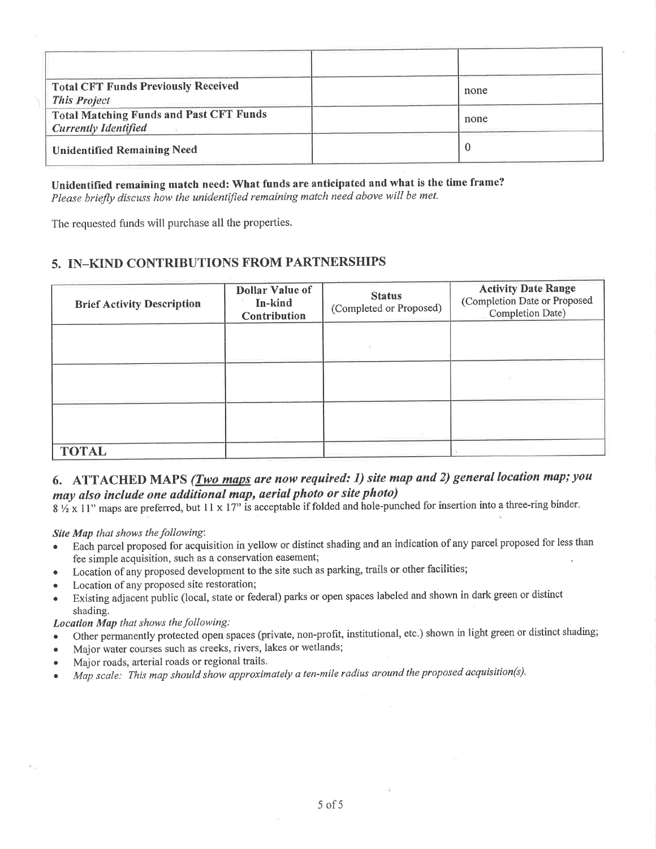| <b>Total CFT Funds Previously Received</b><br><b>This Project</b>             | none |
|-------------------------------------------------------------------------------|------|
| <b>Total Matching Funds and Past CFT Funds</b><br><b>Currently Identified</b> | none |
| <b>Unidentified Remaining Need</b>                                            |      |

Unidentified remaining match need: What funds are anticipated and what is the time frame? Please briefly discuss how the unidentified remaining match need above will be met.

The requested funds will purchase all the properties.

#### 5. IN-KIND CONTRIBUTIONS FROM PARTNERSHIPS

| <b>Brief Activity Description</b> | <b>Dollar Value of</b><br>In-kind<br>Contribution | <b>Status</b><br>(Completed or Proposed) | <b>Activity Date Range</b><br>(Completion Date or Proposed<br>Completion Date) |
|-----------------------------------|---------------------------------------------------|------------------------------------------|--------------------------------------------------------------------------------|
|                                   |                                                   |                                          |                                                                                |
|                                   |                                                   |                                          |                                                                                |
|                                   |                                                   |                                          |                                                                                |
| <b>TOTAL</b>                      |                                                   |                                          |                                                                                |

#### 6. ATTACHED MAPS (*Two maps are now required: 1) site map and 2) general location map; you* may also include one additional map, aerial photo or site photo)

8  $\frac{1}{2}$  x 11" maps are preferred, but 11 x 17" is acceptable if folded and hole-punched for insertion into a three-ring binder.

Site Map that shows the following:

- Each parcel proposed for acquisition in yellow or distinct shading and an indication of any parcel proposed for less than fee simple acquisition, such as a conservation easement;
- Location of any proposed development to the site such as parking, trails or other facilities;
- Location of any proposed site restoration;
- Existing adjacent public (local, state or federal) parks or open spaces labeled and shown in dark green or distinct shading.

Location Map that shows the following:

- Other permanently protected open spaces (private, non-profit, institutional, etc.) shown in light green or distinct shading;
- . Major water courses such as creeks, rivers, Iakes or wetlands;
- . Major roads, arterial roads or regional trails.
- Map scale: This map should show approximately a ten-mile radius around the proposed acquisition(s).